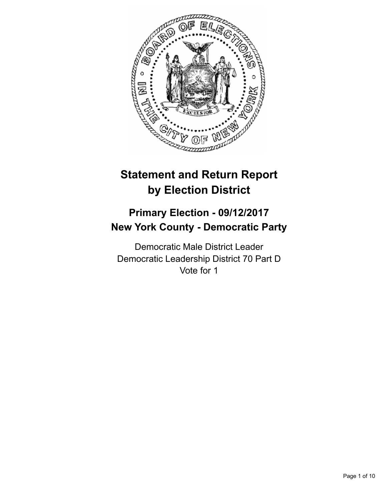

# **Statement and Return Report by Election District**

## **Primary Election - 09/12/2017 New York County - Democratic Party**

Democratic Male District Leader Democratic Leadership District 70 Part D Vote for 1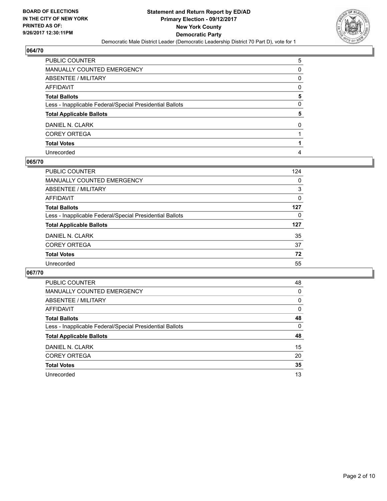

| PUBLIC COUNTER                                           | 5 |
|----------------------------------------------------------|---|
| MANUALLY COUNTED EMERGENCY                               | 0 |
| ABSENTEE / MILITARY                                      | 0 |
| AFFIDAVIT                                                | 0 |
| Total Ballots                                            | 5 |
| Less - Inapplicable Federal/Special Presidential Ballots | 0 |
| <b>Total Applicable Ballots</b>                          | 5 |
| DANIEL N. CLARK                                          | 0 |
| <b>COREY ORTEGA</b>                                      |   |
| <b>Total Votes</b>                                       |   |
| Unrecorded                                               | 4 |

## **065/70**

| <b>PUBLIC COUNTER</b>                                    | 124 |
|----------------------------------------------------------|-----|
| MANUALLY COUNTED EMERGENCY                               | 0   |
| ABSENTEE / MILITARY                                      | 3   |
| AFFIDAVIT                                                | 0   |
| <b>Total Ballots</b>                                     | 127 |
| Less - Inapplicable Federal/Special Presidential Ballots | 0   |
| <b>Total Applicable Ballots</b>                          | 127 |
| DANIEL N. CLARK                                          | 35  |
| <b>COREY ORTEGA</b>                                      | 37  |
| <b>Total Votes</b>                                       | 72  |
| Unrecorded                                               | 55  |

| <b>PUBLIC COUNTER</b>                                    | 48 |
|----------------------------------------------------------|----|
| <b>MANUALLY COUNTED EMERGENCY</b>                        | 0  |
| ABSENTEE / MILITARY                                      | 0  |
| AFFIDAVIT                                                | 0  |
| <b>Total Ballots</b>                                     | 48 |
| Less - Inapplicable Federal/Special Presidential Ballots | 0  |
| <b>Total Applicable Ballots</b>                          | 48 |
| DANIEL N. CLARK                                          | 15 |
| <b>COREY ORTEGA</b>                                      | 20 |
| <b>Total Votes</b>                                       | 35 |
| Unrecorded                                               | 13 |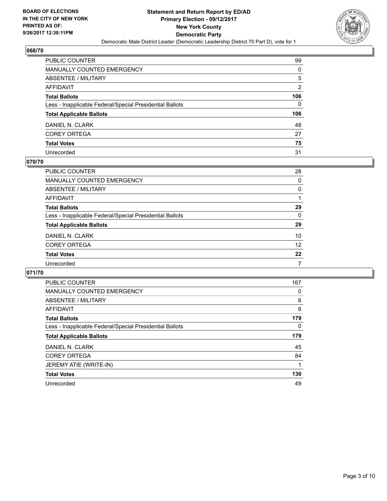

| PUBLIC COUNTER                                           | 99  |
|----------------------------------------------------------|-----|
| <b>MANUALLY COUNTED EMERGENCY</b>                        | 0   |
| ABSENTEE / MILITARY                                      | 5   |
| AFFIDAVIT                                                | 2   |
| <b>Total Ballots</b>                                     | 106 |
| Less - Inapplicable Federal/Special Presidential Ballots | 0   |
| <b>Total Applicable Ballots</b>                          | 106 |
| DANIEL N. CLARK                                          | 48  |
| <b>COREY ORTEGA</b>                                      | 27  |
| <b>Total Votes</b>                                       | 75  |
| Unrecorded                                               | 31  |

#### **070/70**

| PUBLIC COUNTER                                           | 28 |
|----------------------------------------------------------|----|
| <b>MANUALLY COUNTED EMERGENCY</b>                        | 0  |
| ABSENTEE / MILITARY                                      | 0  |
| AFFIDAVIT                                                |    |
| <b>Total Ballots</b>                                     | 29 |
| Less - Inapplicable Federal/Special Presidential Ballots | 0  |
| <b>Total Applicable Ballots</b>                          | 29 |
| DANIEL N. CLARK                                          | 10 |
| <b>COREY ORTEGA</b>                                      | 12 |
| <b>Total Votes</b>                                       | 22 |
| Unrecorded                                               | 7  |
|                                                          |    |

| PUBLIC COUNTER                                           | 167 |
|----------------------------------------------------------|-----|
| <b>MANUALLY COUNTED EMERGENCY</b>                        | 0   |
| ABSENTEE / MILITARY                                      | 6   |
| AFFIDAVIT                                                | 6   |
| <b>Total Ballots</b>                                     | 179 |
| Less - Inapplicable Federal/Special Presidential Ballots | 0   |
| <b>Total Applicable Ballots</b>                          | 179 |
| DANIEL N. CLARK                                          | 45  |
| <b>COREY ORTEGA</b>                                      | 84  |
| JEREMY ATIE (WRITE-IN)                                   |     |
| <b>Total Votes</b>                                       | 130 |
|                                                          |     |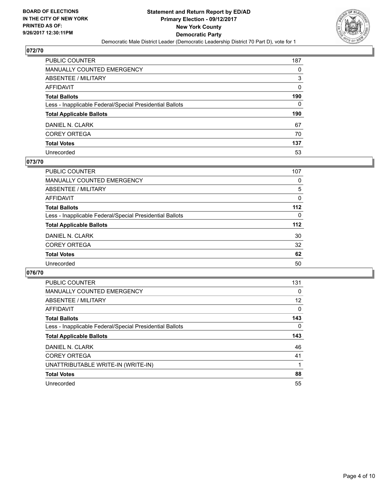

| PUBLIC COUNTER                                           | 187 |
|----------------------------------------------------------|-----|
| <b>MANUALLY COUNTED EMERGENCY</b>                        | 0   |
| <b>ABSENTEE / MILITARY</b>                               | 3   |
| <b>AFFIDAVIT</b>                                         | 0   |
| <b>Total Ballots</b>                                     | 190 |
| Less - Inapplicable Federal/Special Presidential Ballots | 0   |
| <b>Total Applicable Ballots</b>                          | 190 |
| DANIEL N. CLARK                                          | 67  |
| <b>COREY ORTEGA</b>                                      | 70  |
| <b>Total Votes</b>                                       | 137 |
| Unrecorded                                               | 53  |

## **073/70**

| <b>PUBLIC COUNTER</b>                                    | 107      |
|----------------------------------------------------------|----------|
| MANUALLY COUNTED EMERGENCY                               | 0        |
| ABSENTEE / MILITARY                                      | 5        |
| AFFIDAVIT                                                | $\Omega$ |
| <b>Total Ballots</b>                                     | $112$    |
| Less - Inapplicable Federal/Special Presidential Ballots | 0        |
| <b>Total Applicable Ballots</b>                          | $112$    |
| DANIEL N. CLARK                                          | 30       |
| <b>COREY ORTEGA</b>                                      | 32       |
| <b>Total Votes</b>                                       | 62       |
| Unrecorded                                               | 50       |
|                                                          |          |

| <b>PUBLIC COUNTER</b>                                    | 131 |
|----------------------------------------------------------|-----|
| <b>MANUALLY COUNTED EMERGENCY</b>                        | 0   |
| ABSENTEE / MILITARY                                      | 12  |
| AFFIDAVIT                                                | 0   |
| <b>Total Ballots</b>                                     | 143 |
| Less - Inapplicable Federal/Special Presidential Ballots | 0   |
| <b>Total Applicable Ballots</b>                          | 143 |
| DANIEL N. CLARK                                          | 46  |
| <b>COREY ORTEGA</b>                                      | 41  |
| UNATTRIBUTABLE WRITE-IN (WRITE-IN)                       |     |
| <b>Total Votes</b>                                       | 88  |
| Unrecorded                                               | 55  |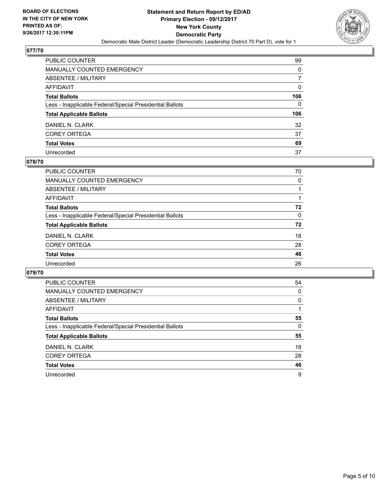

| PUBLIC COUNTER                                           | 99  |
|----------------------------------------------------------|-----|
| <b>MANUALLY COUNTED EMERGENCY</b>                        | 0   |
| <b>ABSENTEE / MILITARY</b>                               | 7   |
| AFFIDAVIT                                                | 0   |
| <b>Total Ballots</b>                                     | 106 |
| Less - Inapplicable Federal/Special Presidential Ballots | 0   |
| <b>Total Applicable Ballots</b>                          | 106 |
| DANIEL N. CLARK                                          | 32  |
| <b>COREY ORTEGA</b>                                      | 37  |
| <b>Total Votes</b>                                       | 69  |
| Unrecorded                                               | 37  |

## **078/70**

| PUBLIC COUNTER                                           | 70 |
|----------------------------------------------------------|----|
| MANUALLY COUNTED EMERGENCY                               | 0  |
| ABSENTEE / MILITARY                                      |    |
| AFFIDAVIT                                                |    |
| <b>Total Ballots</b>                                     | 72 |
| Less - Inapplicable Federal/Special Presidential Ballots | 0  |
| <b>Total Applicable Ballots</b>                          | 72 |
| DANIEL N. CLARK                                          | 18 |
| <b>COREY ORTEGA</b>                                      | 28 |
| <b>Total Votes</b>                                       | 46 |
| Unrecorded                                               | 26 |
|                                                          |    |

| <b>PUBLIC COUNTER</b>                                    | 54 |
|----------------------------------------------------------|----|
| <b>MANUALLY COUNTED EMERGENCY</b>                        | 0  |
| ABSENTEE / MILITARY                                      | 0  |
| AFFIDAVIT                                                |    |
| <b>Total Ballots</b>                                     | 55 |
| Less - Inapplicable Federal/Special Presidential Ballots | 0  |
| <b>Total Applicable Ballots</b>                          | 55 |
| DANIEL N. CLARK                                          | 18 |
| <b>COREY ORTEGA</b>                                      | 28 |
| <b>Total Votes</b>                                       | 46 |
| Unrecorded                                               | 9  |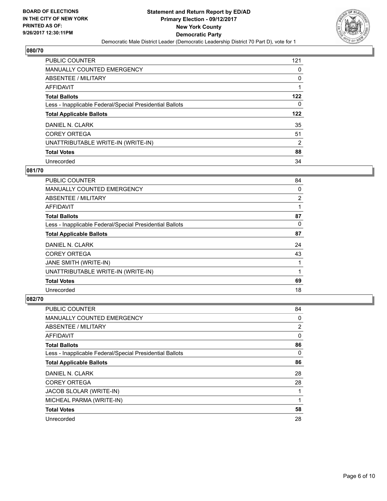

| <b>PUBLIC COUNTER</b>                                    | 121 |
|----------------------------------------------------------|-----|
| <b>MANUALLY COUNTED EMERGENCY</b>                        | 0   |
| ABSENTEE / MILITARY                                      | 0   |
| AFFIDAVIT                                                |     |
| <b>Total Ballots</b>                                     | 122 |
| Less - Inapplicable Federal/Special Presidential Ballots | 0   |
| <b>Total Applicable Ballots</b>                          | 122 |
| DANIEL N. CLARK                                          | 35  |
| <b>COREY ORTEGA</b>                                      | 51  |
| UNATTRIBUTABLE WRITE-IN (WRITE-IN)                       | 2   |
| <b>Total Votes</b>                                       | 88  |
| Unrecorded                                               | 34  |

### **081/70**

| <b>PUBLIC COUNTER</b>                                    | 84             |
|----------------------------------------------------------|----------------|
| <b>MANUALLY COUNTED EMERGENCY</b>                        | 0              |
| ABSENTEE / MILITARY                                      | $\overline{2}$ |
| AFFIDAVIT                                                |                |
| <b>Total Ballots</b>                                     | 87             |
| Less - Inapplicable Federal/Special Presidential Ballots | 0              |
| <b>Total Applicable Ballots</b>                          | 87             |
| DANIEL N. CLARK                                          | 24             |
| <b>COREY ORTEGA</b>                                      | 43             |
| JANE SMITH (WRITE-IN)                                    |                |
| UNATTRIBUTABLE WRITE-IN (WRITE-IN)                       | 1              |
| <b>Total Votes</b>                                       | 69             |
| Unrecorded                                               | 18             |

| PUBLIC COUNTER                                           | 84             |
|----------------------------------------------------------|----------------|
| <b>MANUALLY COUNTED EMERGENCY</b>                        | 0              |
| ABSENTEE / MILITARY                                      | $\overline{2}$ |
| AFFIDAVIT                                                | 0              |
| <b>Total Ballots</b>                                     | 86             |
| Less - Inapplicable Federal/Special Presidential Ballots | 0              |
| <b>Total Applicable Ballots</b>                          | 86             |
| DANIEL N. CLARK                                          | 28             |
| <b>COREY ORTEGA</b>                                      | 28             |
| JACOB SLOLAR (WRITE-IN)                                  |                |
| MICHEAL PARMA (WRITE-IN)                                 |                |
| <b>Total Votes</b>                                       | 58             |
| Unrecorded                                               | 28             |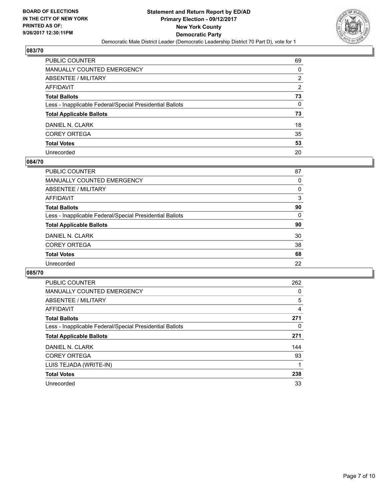

| PUBLIC COUNTER                                           | 69 |
|----------------------------------------------------------|----|
| <b>MANUALLY COUNTED EMERGENCY</b>                        | 0  |
| <b>ABSENTEE / MILITARY</b>                               | 2  |
| AFFIDAVIT                                                | 2  |
| <b>Total Ballots</b>                                     | 73 |
| Less - Inapplicable Federal/Special Presidential Ballots | 0  |
| <b>Total Applicable Ballots</b>                          | 73 |
| DANIEL N. CLARK                                          | 18 |
| <b>COREY ORTEGA</b>                                      | 35 |
| <b>Total Votes</b>                                       | 53 |
| Unrecorded                                               | 20 |

#### **084/70**

| PUBLIC COUNTER                                           | 87 |
|----------------------------------------------------------|----|
| MANUALLY COUNTED EMERGENCY                               | 0  |
| ABSENTEE / MILITARY                                      | 0  |
| AFFIDAVIT                                                | 3  |
| <b>Total Ballots</b>                                     | 90 |
| Less - Inapplicable Federal/Special Presidential Ballots | 0  |
| <b>Total Applicable Ballots</b>                          | 90 |
| DANIEL N. CLARK                                          | 30 |
| <b>COREY ORTEGA</b>                                      | 38 |
| <b>Total Votes</b>                                       | 68 |
| Unrecorded                                               | 22 |
|                                                          |    |

| <b>PUBLIC COUNTER</b>                                    | 262 |
|----------------------------------------------------------|-----|
| <b>MANUALLY COUNTED EMERGENCY</b>                        | 0   |
| ABSENTEE / MILITARY                                      | 5   |
| AFFIDAVIT                                                | 4   |
| <b>Total Ballots</b>                                     | 271 |
| Less - Inapplicable Federal/Special Presidential Ballots | 0   |
| <b>Total Applicable Ballots</b>                          | 271 |
| DANIEL N. CLARK                                          | 144 |
| <b>COREY ORTEGA</b>                                      | 93  |
| LUIS TEJADA (WRITE-IN)                                   |     |
| <b>Total Votes</b>                                       | 238 |
| Unrecorded                                               | 33  |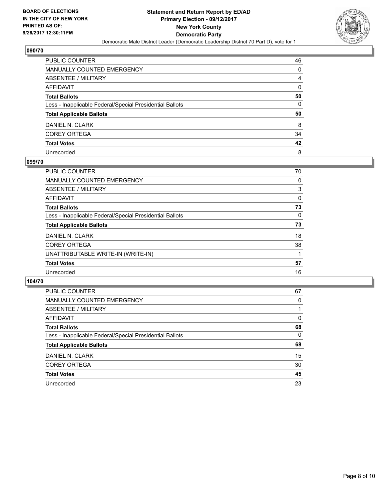

| <b>PUBLIC COUNTER</b>                                    | 46 |
|----------------------------------------------------------|----|
| MANUALLY COUNTED EMERGENCY                               | 0  |
| ABSENTEE / MILITARY                                      | 4  |
| <b>AFFIDAVIT</b>                                         | 0  |
| <b>Total Ballots</b>                                     | 50 |
| Less - Inapplicable Federal/Special Presidential Ballots | 0  |
| <b>Total Applicable Ballots</b>                          | 50 |
| DANIEL N. CLARK                                          | 8  |
| <b>COREY ORTEGA</b>                                      | 34 |
| <b>Total Votes</b>                                       | 42 |
| Unrecorded                                               | 8  |

## **099/70**

| <b>PUBLIC COUNTER</b>                                    | 70 |
|----------------------------------------------------------|----|
| <b>MANUALLY COUNTED EMERGENCY</b>                        | 0  |
| ABSENTEE / MILITARY                                      | 3  |
| AFFIDAVIT                                                | 0  |
| <b>Total Ballots</b>                                     | 73 |
| Less - Inapplicable Federal/Special Presidential Ballots | 0  |
| <b>Total Applicable Ballots</b>                          | 73 |
| DANIEL N. CLARK                                          | 18 |
| <b>COREY ORTEGA</b>                                      | 38 |
| UNATTRIBUTABLE WRITE-IN (WRITE-IN)                       |    |
| <b>Total Votes</b>                                       | 57 |
| Unrecorded                                               | 16 |
|                                                          |    |

| <b>PUBLIC COUNTER</b>                                    | 67 |
|----------------------------------------------------------|----|
| MANUALLY COUNTED EMERGENCY                               | 0  |
| ABSENTEE / MILITARY                                      |    |
| AFFIDAVIT                                                | 0  |
| <b>Total Ballots</b>                                     | 68 |
| Less - Inapplicable Federal/Special Presidential Ballots | 0  |
| <b>Total Applicable Ballots</b>                          | 68 |
| DANIEL N. CLARK                                          | 15 |
| <b>COREY ORTEGA</b>                                      | 30 |
| <b>Total Votes</b>                                       | 45 |
| Unrecorded                                               | 23 |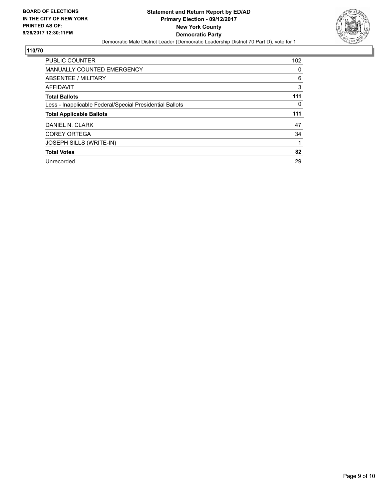

| <b>PUBLIC COUNTER</b>                                    | 102 |
|----------------------------------------------------------|-----|
| <b>MANUALLY COUNTED EMERGENCY</b>                        | 0   |
| ABSENTEE / MILITARY                                      | 6   |
| AFFIDAVIT                                                | 3   |
| <b>Total Ballots</b>                                     | 111 |
| Less - Inapplicable Federal/Special Presidential Ballots | 0   |
| <b>Total Applicable Ballots</b>                          | 111 |
| DANIEL N. CLARK                                          | 47  |
|                                                          |     |
| <b>COREY ORTEGA</b>                                      | 34  |
| JOSEPH SILLS (WRITE-IN)                                  |     |
| <b>Total Votes</b>                                       | 82  |